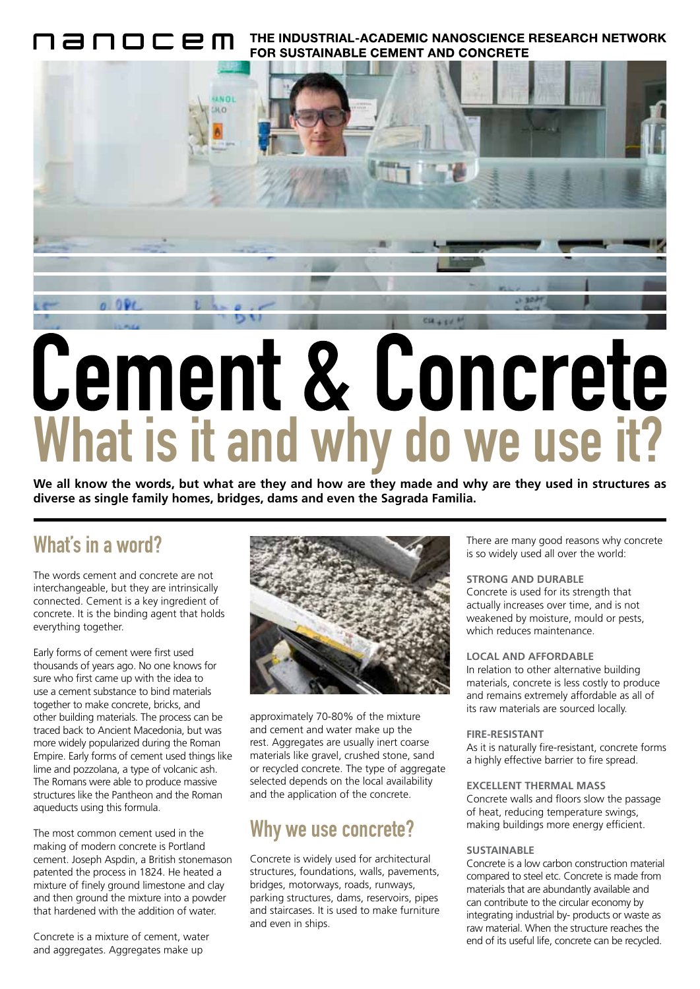THE INDUSTRIAL-ACADEMIC NANOSCIENCE RESEARCH NETWORK 10C2M **FOR SUSTAINABLE CEMENT AND CONCRETE** 



**We all know the words, but what are they and how are they made and why are they used in structures as diverse as single family homes, bridges, dams and even the Sagrada Familia.**

### What's in a word?

The words cement and concrete are not interchangeable, but they are intrinsically connected. Cement is a key ingredient of concrete. It is the binding agent that holds everything together.

Early forms of cement were first used thousands of years ago. No one knows for sure who first came up with the idea to use a cement substance to bind materials together to make concrete, bricks, and other building materials. The process can be traced back to Ancient Macedonia, but was more widely popularized during the Roman Empire. Early forms of cement used things like lime and pozzolana, a type of volcanic ash. The Romans were able to produce massive structures like the Pantheon and the Roman aqueducts using this formula.

The most common cement used in the making of modern concrete is Portland cement. Joseph Aspdin, a British stonemason patented the process in 1824. He heated a mixture of finely ground limestone and clay and then ground the mixture into a powder that hardened with the addition of water.

Concrete is a mixture of cement, water and aggregates. Aggregates make up



approximately 70-80% of the mixture and cement and water make up the rest. Aggregates are usually inert coarse materials like gravel, crushed stone, sand or recycled concrete. The type of aggregate selected depends on the local availability and the application of the concrete.

## Why we use concrete?

Concrete is widely used for architectural structures, foundations, walls, pavements, bridges, motorways, roads, runways, parking structures, dams, reservoirs, pipes and staircases. It is used to make furniture and even in ships.

There are many good reasons why concrete is so widely used all over the world:

#### **STRONG AND DURABLE**

Concrete is used for its strength that actually increases over time, and is not weakened by moisture, mould or pests, which reduces maintenance.

#### **LOCAL AND AFFORDABLE**

In relation to other alternative building materials, concrete is less costly to produce and remains extremely affordable as all of its raw materials are sourced locally.

#### **FIRE-RESISTANT**

As it is naturally fire-resistant, concrete forms a highly effective barrier to fire spread.

#### **EXCELLENT THERMAL MASS**

Concrete walls and floors slow the passage of heat, reducing temperature swings, making buildings more energy efficient.

#### **SUSTAINABLE**

Concrete is a low carbon construction material compared to steel etc. Concrete is made from materials that are abundantly available and can contribute to the circular economy by integrating industrial by- products or waste as raw material. When the structure reaches the end of its useful life, concrete can be recycled.